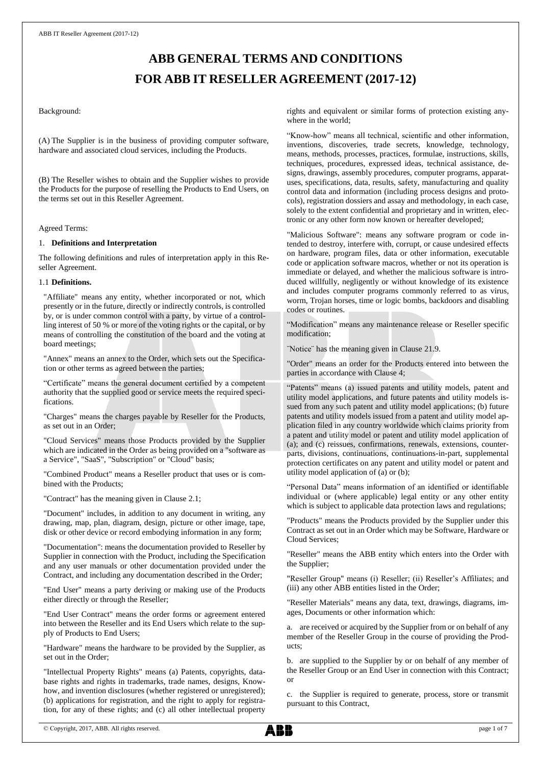# **ABB GENERAL TERMS AND CONDITIONS FOR ABB IT RESELLER AGREEMENT (2017-12)**

#### Background:

(A) The Supplier is in the business of providing computer software, hardware and associated cloud services, including the Products.

(B) The Reseller wishes to obtain and the Supplier wishes to provide the Products for the purpose of reselling the Products to End Users, on the terms set out in this Reseller Agreement.

#### Agreed Terms:

#### 1. **Definitions and Interpretation**

The following definitions and rules of interpretation apply in this Reseller Agreement.

# 1.1 **Definitions.**

"Affiliate" means any entity, whether incorporated or not, which presently or in the future, directly or indirectly controls, is controlled by, or is under common control with a party, by virtue of a controlling interest of 50 % or more of the voting rights or the capital, or by means of controlling the constitution of the board and the voting at board meetings;

"Annex" means an annex to the Order, which sets out the Specification or other terms as agreed between the parties;

"Certificate" means the general document certified by a competent authority that the supplied good or service meets the required specifications.

"Charges" means the charges payable by Reseller for the Products, as set out in an Order;

"Cloud Services" means those Products provided by the Supplier which are indicated in the Order as being provided on a "software as a Service", "SaaS", "Subscription" or "Cloud" basis;

"Combined Product" means a Reseller product that uses or is combined with the Products;

"Contract" has the meaning given in Claus[e 2.1;](#page-1-0)

"Document" includes, in addition to any document in writing, any drawing, map, plan, diagram, design, picture or other image, tape, disk or other device or record embodying information in any form;

"Documentation": means the documentation provided to Reseller by Supplier in connection with the Product, including the Specification and any user manuals or other documentation provided under the Contract, and including any documentation described in the Order;

"End User" means a party deriving or making use of the Products either directly or through the Reseller;

"End User Contract" means the order forms or agreement entered into between the Reseller and its End Users which relate to the supply of Products to End Users;

"Hardware" means the hardware to be provided by the Supplier, as set out in the Order;

"Intellectual Property Rights" means (a) Patents, copyrights, database rights and rights in trademarks, trade names, designs, Knowhow, and invention disclosures (whether registered or unregistered); (b) applications for registration, and the right to apply for registration, for any of these rights; and (c) all other intellectual property

rights and equivalent or similar forms of protection existing anywhere in the world:

"Know-how" means all technical, scientific and other information, inventions, discoveries, trade secrets, knowledge, technology, means, methods, processes, practices, formulae, instructions, skills, techniques, procedures, expressed ideas, technical assistance, designs, drawings, assembly procedures, computer programs, apparatuses, specifications, data, results, safety, manufacturing and quality control data and information (including process designs and protocols), registration dossiers and assay and methodology, in each case, solely to the extent confidential and proprietary and in written, electronic or any other form now known or hereafter developed;

"Malicious Software": means any software program or code intended to destroy, interfere with, corrupt, or cause undesired effects on hardware, program files, data or other information, executable code or application software macros, whether or not its operation is immediate or delayed, and whether the malicious software is introduced willfully, negligently or without knowledge of its existence and includes computer programs commonly referred to as virus, worm, Trojan horses, time or logic bombs, backdoors and disabling codes or routines.

"Modification" means any maintenance release or Reseller specific modification;

¨Notice¨ has the meaning given in Clause 21.9.

"Order" means an order for the Products entered into between the parties in accordance with Clause [4;](#page-1-1)

"Patents" means (a) issued patents and utility models, patent and utility model applications, and future patents and utility models issued from any such patent and utility model applications; (b) future patents and utility models issued from a patent and utility model application filed in any country worldwide which claims priority from a patent and utility model or patent and utility model application of (a); and (c) reissues, confirmations, renewals, extensions, counterparts, divisions, continuations, continuations-in-part, supplemental protection certificates on any patent and utility model or patent and utility model application of (a) or (b);

"Personal Data" means information of an identified or identifiable individual or (where applicable) legal entity or any other entity which is subject to applicable data protection laws and regulations;

"Products" means the Products provided by the Supplier under this Contract as set out in an Order which may be Software, Hardware or Cloud Services;

"Reseller" means the ABB entity which enters into the Order with the Supplier;

"Reseller Group" means (i) Reseller; (ii) Reseller's Affiliates; and (iii) any other ABB entities listed in the Order;

"Reseller Materials" means any data, text, drawings, diagrams, images, Documents or other information which:

a. are received or acquired by the Supplier from or on behalf of any member of the Reseller Group in the course of providing the Products;

b. are supplied to the Supplier by or on behalf of any member of the Reseller Group or an End User in connection with this Contract; or

c. the Supplier is required to generate, process, store or transmit pursuant to this Contract,

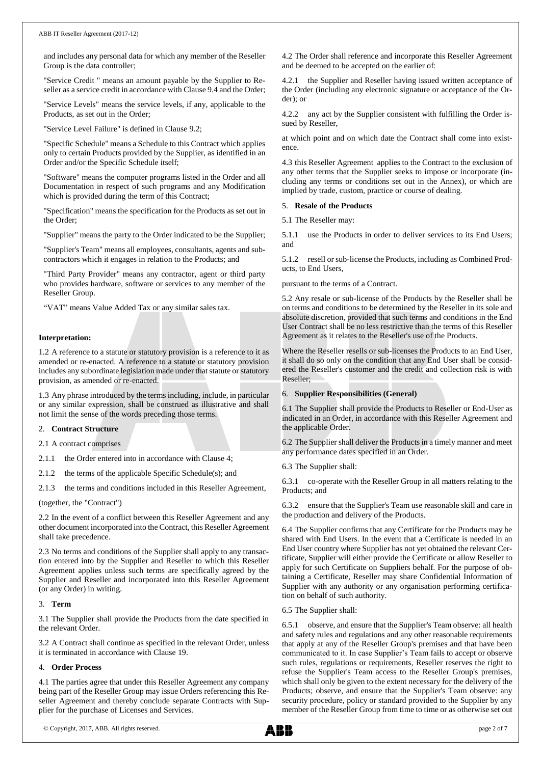and includes any personal data for which any member of the Reseller Group is the data controller;

"Service Credit " means an amount payable by the Supplier to Reseller as a service credit in accordance with Claus[e 9.4](#page-2-0) and the Order;

"Service Levels" means the service levels, if any, applicable to the Products, as set out in the Order;

"Service Level Failure" is defined in Claus[e 9.2;](#page-2-1)

"Specific Schedule" means a Schedule to this Contract which applies only to certain Products provided by the Supplier, as identified in an Order and/or the Specific Schedule itself;

"Software" means the computer programs listed in the Order and all Documentation in respect of such programs and any Modification which is provided during the term of this Contract;

"Specification" means the specification for the Products as set out in the Order;

"Supplier" means the party to the Order indicated to be the Supplier;

"Supplier's Team" means all employees, consultants, agents and subcontractors which it engages in relation to the Products; and

"Third Party Provider" means any contractor, agent or third party who provides hardware, software or services to any member of the Reseller Group.

"VAT" means Value Added Tax or any similar sales tax.

# **Interpretation:**

1.2 A reference to a statute or statutory provision is a reference to it as amended or re-enacted. A reference to a statute or statutory provision includes any subordinate legislation made under that statute or statutory provision, as amended or re-enacted.

1.3 Any phrase introduced by the terms including, include, in particular or any similar expression, shall be construed as illustrative and shall not limit the sense of the words preceding those terms.

#### 2. **Contract Structure**

<span id="page-1-0"></span>2.1 A contract comprises

2.1.1 the Order entered into in accordance with Claus[e 4;](#page-1-1)

2.1.2 the terms of the applicable Specific Schedule(s); and

2.1.3 the terms and conditions included in this Reseller Agreement,

(together, the "Contract")

2.2 In the event of a conflict between this Reseller Agreement and any other document incorporated into the Contract, this Reseller Agreement shall take precedence.

2.3 No terms and conditions of the Supplier shall apply to any transaction entered into by the Supplier and Reseller to which this Reseller Agreement applies unless such terms are specifically agreed by the Supplier and Reseller and incorporated into this Reseller Agreement (or any Order) in writing.

#### 3. **Term**

3.1 The Supplier shall provide the Products from the date specified in the relevant Order.

3.2 A Contract shall continue as specified in the relevant Order, unless it is terminated in accordance with Clause [19.](#page-5-0)

# <span id="page-1-1"></span>4. **Order Process**

4.1 The parties agree that under this Reseller Agreement any company being part of the Reseller Group may issue Orders referencing this Reseller Agreement and thereby conclude separate Contracts with Supplier for the purchase of Licenses and Services.

4.2 The Order shall reference and incorporate this Reseller Agreement and be deemed to be accepted on the earlier of:

4.2.1 the Supplier and Reseller having issued written acceptance of the Order (including any electronic signature or acceptance of the Order); or

4.2.2 any act by the Supplier consistent with fulfilling the Order issued by Reseller,

at which point and on which date the Contract shall come into existence.

4.3 this Reseller Agreement applies to the Contract to the exclusion of any other terms that the Supplier seeks to impose or incorporate (including any terms or conditions set out in the Annex), or which are implied by trade, custom, practice or course of dealing.

#### 5. **Resale of the Products**

5.1 The Reseller may:

5.1.1 use the Products in order to deliver services to its End Users; and

5.1.2 resell or sub-license the Products, including as Combined Products, to End Users,

pursuant to the terms of a Contract.

5.2 Any resale or sub-license of the Products by the Reseller shall be on terms and conditions to be determined by the Reseller in its sole and absolute discretion, provided that such terms and conditions in the End User Contract shall be no less restrictive than the terms of this Reseller Agreement as it relates to the Reseller's use of the Products.

Where the Reseller resells or sub-licenses the Products to an End User, it shall do so only on the condition that any End User shall be considered the Reseller's customer and the credit and collection risk is with Reseller;

#### 6. **Supplier Responsibilities (General)**

6.1 The Supplier shall provide the Products to Reseller or End-User as indicated in an Order, in accordance with this Reseller Agreement and the applicable Order.

6.2 The Supplier shall deliver the Products in a timely manner and meet any performance dates specified in an Order.

6.3 The Supplier shall:

6.3.1 co-operate with the Reseller Group in all matters relating to the Products; and

6.3.2 ensure that the Supplier's Team use reasonable skill and care in the production and delivery of the Products.

6.4 The Supplier confirms that any Certificate for the Products may be shared with End Users. In the event that a Certificate is needed in an End User country where Supplier has not yet obtained the relevant Certificate, Supplier will either provide the Certificate or allow Reseller to apply for such Certificate on Suppliers behalf. For the purpose of obtaining a Certificate, Reseller may share Confidential Information of Supplier with any authority or any organisation performing certification on behalf of such authority.

6.5 The Supplier shall:

6.5.1 observe, and ensure that the Supplier's Team observe: all health and safety rules and regulations and any other reasonable requirements that apply at any of the Reseller Group's premises and that have been communicated to it. In case Supplier's Team fails to accept or observe such rules, regulations or requirements, Reseller reserves the right to refuse the Supplier's Team access to the Reseller Group's premises, which shall only be given to the extent necessary for the delivery of the Products; observe, and ensure that the Supplier's Team observe: any security procedure, policy or standard provided to the Supplier by any member of the Reseller Group from time to time or as otherwise set out

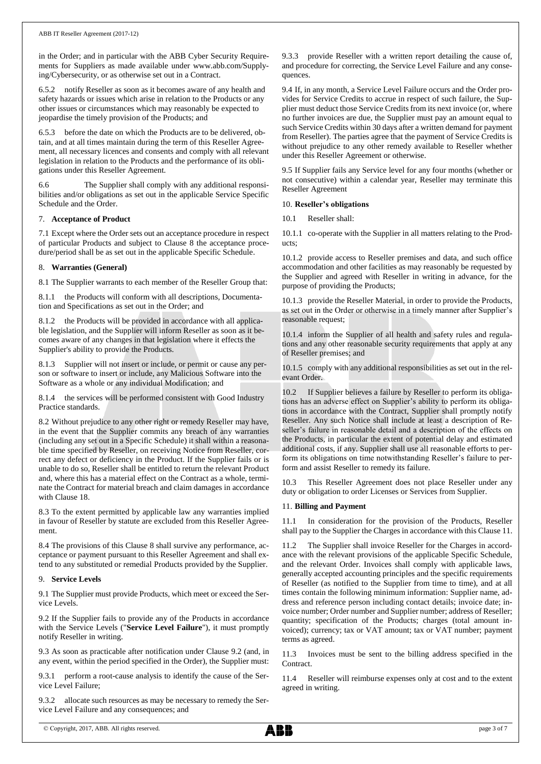in the Order; and in particular with the ABB Cyber Security Requirements for Suppliers as made available under www.abb.com/Supplying/Cybersecurity, or as otherwise set out in a Contract.

6.5.2 notify Reseller as soon as it becomes aware of any health and safety hazards or issues which arise in relation to the Products or any other issues or circumstances which may reasonably be expected to jeopardise the timely provision of the Products; and

6.5.3 before the date on which the Products are to be delivered, obtain, and at all times maintain during the term of this Reseller Agreement, all necessary licences and consents and comply with all relevant legislation in relation to the Products and the performance of its obligations under this Reseller Agreement.

6.6 The Supplier shall comply with any additional responsibilities and/or obligations as set out in the applicable Service Specific Schedule and the Order.

# 7. **Acceptance of Product**

7.1 Except where the Order sets out an acceptance procedure in respect of particular Products and subject to Clause [8](#page-2-2) the acceptance procedure/period shall be as set out in the applicable Specific Schedule.

#### <span id="page-2-2"></span>8. **Warranties (General)**

8.1 The Supplier warrants to each member of the Reseller Group that:

8.1.1 the Products will conform with all descriptions, Documentation and Specifications as set out in the Order; and

8.1.2 the Products will be provided in accordance with all applicable legislation, and the Supplier will inform Reseller as soon as it becomes aware of any changes in that legislation where it effects the Supplier's ability to provide the Products.

Supplier will not insert or include, or permit or cause any person or software to insert or include, any Malicious Software into the Software as a whole or any individual Modification; and

8.1.4 the services will be performed consistent with Good Industry Practice standards.

8.2 Without prejudice to any other right or remedy Reseller may have, in the event that the Supplier commits any breach of any warranties (including any set out in a Specific Schedule) it shall within a reasonable time specified by Reseller, on receiving Notice from Reseller, correct any defect or deficiency in the Product. If the Supplier fails or is unable to do so, Reseller shall be entitled to return the relevant Product and, where this has a material effect on the Contract as a whole, terminate the Contract for material breach and claim damages in accordance with Claus[e 18.](#page-4-0)

8.3 To the extent permitted by applicable law any warranties implied in favour of Reseller by statute are excluded from this Reseller Agreement.

8.4 The provisions of this Clause [8](#page-2-2) shall survive any performance, acceptance or payment pursuant to this Reseller Agreement and shall extend to any substituted or remedial Products provided by the Supplier.

#### 9. **Service Levels**

9.1 The Supplier must provide Products, which meet or exceed the Service Levels.

<span id="page-2-1"></span>9.2 If the Supplier fails to provide any of the Products in accordance with the Service Levels ("**Service Level Failure**"), it must promptly notify Reseller in writing.

9.3 As soon as practicable after notification under Clause [9.2](#page-2-1) (and, in any event, within the period specified in the Order), the Supplier must:

9.3.1 perform a root-cause analysis to identify the cause of the Service Level Failure;

9.3.2 allocate such resources as may be necessary to remedy the Service Level Failure and any consequences; and

9.3.3 provide Reseller with a written report detailing the cause of, and procedure for correcting, the Service Level Failure and any consequences.

<span id="page-2-0"></span>9.4 If, in any month, a Service Level Failure occurs and the Order provides for Service Credits to accrue in respect of such failure, the Supplier must deduct those Service Credits from its next invoice (or, where no further invoices are due, the Supplier must pay an amount equal to such Service Credits within 30 days after a written demand for payment from Reseller). The parties agree that the payment of Service Credits is without prejudice to any other remedy available to Reseller whether under this Reseller Agreement or otherwise.

9.5 If Supplier fails any Service level for any four months (whether or not consecutive) within a calendar year, Reseller may terminate this Reseller Agreement

# 10. **Reseller's obligations**

10.1 Reseller shall:

10.1.1 co-operate with the Supplier in all matters relating to the Products;

10.1.2 provide access to Reseller premises and data, and such office accommodation and other facilities as may reasonably be requested by the Supplier and agreed with Reseller in writing in advance, for the purpose of providing the Products;

10.1.3 provide the Reseller Material, in order to provide the Products, as set out in the Order or otherwise in a timely manner after Supplier's reasonable request;

10.1.4 inform the Supplier of all health and safety rules and regulations and any other reasonable security requirements that apply at any of Reseller premises; and

10.1.5 comply with any additional responsibilities as set out in the relevant Order.

10.2 If Supplier believes a failure by Reseller to perform its obligations has an adverse effect on Supplier's ability to perform its obligations in accordance with the Contract, Supplier shall promptly notify Reseller. Any such Notice shall include at least a description of Reseller's failure in reasonable detail and a description of the effects on the Products, in particular the extent of potential delay and estimated additional costs, if any. Supplier shall use all reasonable efforts to perform its obligations on time notwithstanding Reseller's failure to perform and assist Reseller to remedy its failure.

10.3 This Reseller Agreement does not place Reseller under any duty or obligation to order Licenses or Services from Supplier.

#### <span id="page-2-3"></span>11. **Billing and Payment**

11.1 In consideration for the provision of the Products, Reseller shall pay to the Supplier the Charges in accordance with this Claus[e 11.](#page-2-3)

11.2 The Supplier shall invoice Reseller for the Charges in accordance with the relevant provisions of the applicable Specific Schedule, and the relevant Order. Invoices shall comply with applicable laws, generally accepted accounting principles and the specific requirements of Reseller (as notified to the Supplier from time to time), and at all times contain the following minimum information: Supplier name, address and reference person including contact details; invoice date; invoice number; Order number and Supplier number; address of Reseller; quantity; specification of the Products; charges (total amount invoiced); currency; tax or VAT amount; tax or VAT number; payment terms as agreed.

11.3 Invoices must be sent to the billing address specified in the Contract.

11.4 Reseller will reimburse expenses only at cost and to the extent agreed in writing.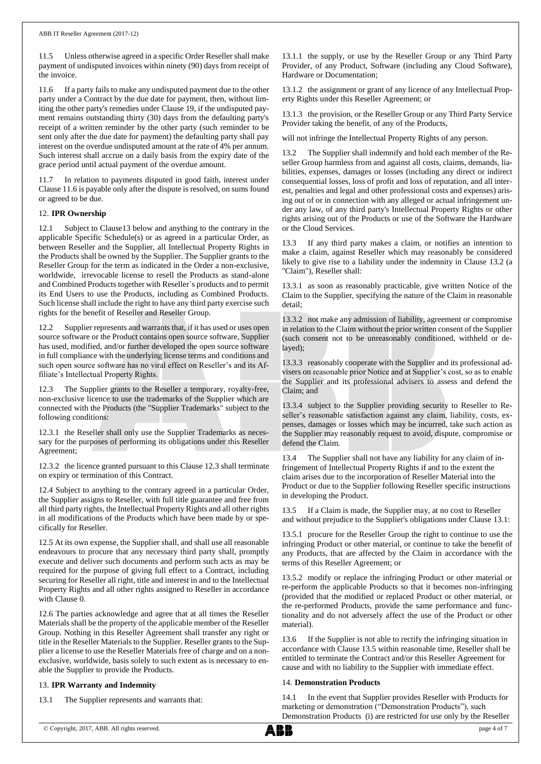11.5 Unless otherwise agreed in a specific Order Reseller shall make payment of undisputed invoices within ninety (90) days from receipt of the invoice.

<span id="page-3-0"></span>11.6 If a party fails to make any undisputed payment due to the other party under a Contract by the due date for payment, then, without limiting the other party's remedies under Claus[e 19,](#page-5-0) if the undisputed payment remains outstanding thirty (30) days from the defaulting party's receipt of a written reminder by the other party (such reminder to be sent only after the due date for payment) the defaulting party shall pay interest on the overdue undisputed amount at the rate of 4% per annum. Such interest shall accrue on a daily basis from the expiry date of the grace period until actual payment of the overdue amount.

11.7 In relation to payments disputed in good faith, interest under Claus[e 11.6](#page-3-0) is payable only after the dispute is resolved, on sums found or agreed to be due.

# 12. **IPR Ownership**

Subject to Clause13 below and anything to the contrary in the applicable Specific Schedule(s) or as agreed in a particular Order, as between Reseller and the Supplier, all Intellectual Property Rights in the Products shall be owned by the Supplier. The Supplier grants to the Reseller Group for the term as indicated in the Order a non-exclusive, worldwide, irrevocable license to resell the Products as stand-alone and Combined Products together with Reseller`s products and to permit its End Users to use the Products, including as Combined Products. Such license shall include the right to have any third party exercise such rights for the benefit of Reseller and Reseller Group.

12.2 Supplier represents and warrants that, if it has used or uses open source software or the Product contains open source software, Supplier has used, modified, and/or further developed the open source software in full compliance with the underlying license terms and conditions and such open source software has no viral effect on Reseller's and its Affiliate's Intellectual Property Rights.

12.3 The Supplier grants to the Reseller a temporary, royalty-free, non-exclusive licence to use the trademarks of the Supplier which are connected with the Products (the "Supplier Trademarks" subject to the following conditions:

12.3.1 the Reseller shall only use the Supplier Trademarks as necessary for the purposes of performing its obligations under this Reseller Agreement;

12.3.2 the licence granted pursuant to this Clause 12.3 shall terminate on expiry or termination of this Contract.

<span id="page-3-1"></span>12.4 Subject to anything to the contrary agreed in a particular Order, the Supplier assigns to Reseller, with full title guarantee and free from all third party rights, the Intellectual Property Rights and all other rights in all modifications of the Products which have been made by or specifically for Reseller.

12.5 At its own expense, the Supplier shall, and shall use all reasonable endeavours to procure that any necessary third party shall, promptly execute and deliver such documents and perform such acts as may be required for the purpose of giving full effect to a Contract, including securing for Reseller all right, title and interest in and to the Intellectual Property Rights and all other rights assigned to Reseller in accordance with Claus[e 0.](#page-3-1)

12.6 The parties acknowledge and agree that at all times the Reseller Materials shall be the property of the applicable member of the Reseller Group. Nothing in this Reseller Agreement shall transfer any right or title in the Reseller Materials to the Supplier. Reseller grants to the Supplier a license to use the Reseller Materials free of charge and on a nonexclusive, worldwide, basis solely to such extent as is necessary to enable the Supplier to provide the Products.

#### <span id="page-3-6"></span>13. **IPR Warranty and Indemnity**

<span id="page-3-3"></span>13.1 The Supplier represents and warrants that:

13.1.1 the supply, or use by the Reseller Group or any Third Party Provider, of any Product, Software (including any Cloud Software), Hardware or Documentation;

13.1.2 the assignment or grant of any licence of any Intellectual Property Rights under this Reseller Agreement; or

13.1.3 the provision, or the Reseller Group or any Third Party Service Provider taking the benefit, of any of the Products,

will not infringe the Intellectual Property Rights of any person.

<span id="page-3-2"></span>13.2 The Supplier shall indemnify and hold each member of the Reseller Group harmless from and against all costs, claims, demands, liabilities, expenses, damages or losses (including any direct or indirect consequential losses, loss of profit and loss of reputation, and all interest, penalties and legal and other professional costs and expenses) arising out of or in connection with any alleged or actual infringement under any law, of any third party's Intellectual Property Rights or other rights arising out of the Products or use of the Software the Hardware or the Cloud Services.

13.3 If any third party makes a claim, or notifies an intention to make a claim, against Reseller which may reasonably be considered likely to give rise to a liability under the indemnity in Clause [13.2](#page-3-2) (a "Claim"), Reseller shall:

13.3.1 as soon as reasonably practicable, give written Notice of the Claim to the Supplier, specifying the nature of the Claim in reasonable detail;

13.3.2 not make any admission of liability, agreement or compromise in relation to the Claim without the prior written consent of the Supplier (such consent not to be unreasonably conditioned, withheld or delayed);

13.3.3 reasonably cooperate with the Supplier and its professional advisers on reasonable prior Notice and at Supplier's cost, so as to enable the Supplier and its professional advisers to assess and defend the Claim; and

13.3.4 subject to the Supplier providing security to Reseller to Reseller's reasonable satisfaction against any claim, liability, costs, expenses, damages or losses which may be incurred, take such action as the Supplier may reasonably request to avoid, dispute, compromise or defend the Claim.

13.4 The Supplier shall not have any liability for any claim of infringement of Intellectual Property Rights if and to the extent the claim arises due to the incorporation of Reseller Material into the Product or due to the Supplier following Reseller specific instructions in developing the Product.

<span id="page-3-4"></span>13.5 If a Claim is made, the Supplier may, at no cost to Reseller and without prejudice to the Supplier's obligations under Clause [13.1:](#page-3-3)

13.5.1 procure for the Reseller Group the right to continue to use the infringing Product or other material, or continue to take the benefit of any Products, that are affected by the Claim in accordance with the terms of this Reseller Agreement; or

13.5.2 modify or replace the infringing Product or other material or re-perform the applicable Products so that it becomes non-infringing (provided that the modified or replaced Product or other material, or the re-performed Products, provide the same performance and functionality and do not adversely affect the use of the Product or other material).

13.6 If the Supplier is not able to rectify the infringing situation in accordance with Clause [13.5](#page-3-4) within reasonable time, Reseller shall be entitled to terminate the Contract and/or this Reseller Agreement for cause and with no liability to the Supplier with immediate effect.

# <span id="page-3-5"></span>14. **Demonstration Products**

14.1 In the event that Supplier provides Reseller with Products for marketing or demonstration ("Demonstration Products"), such Demonstration Products (i) are restricted for use only by the Reseller

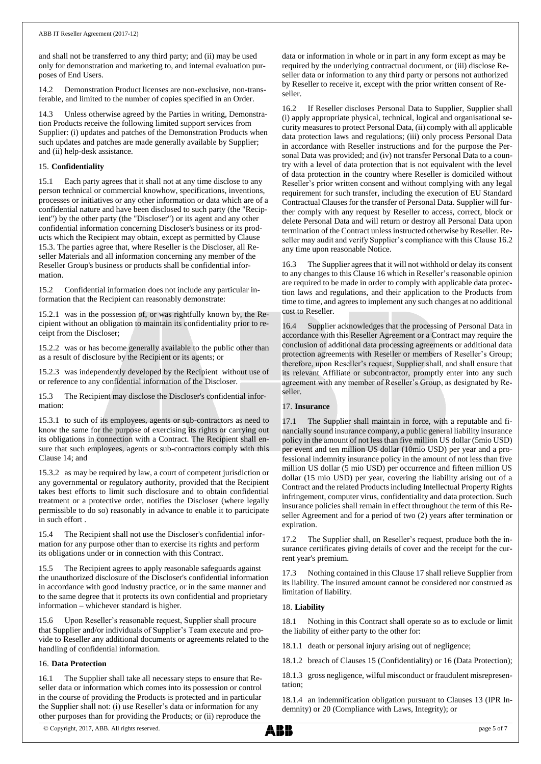and shall not be transferred to any third party; and (ii) may be used only for demonstration and marketing to, and internal evaluation purposes of End Users.

14.2 Demonstration Product licenses are non-exclusive, non-transferable, and limited to the number of copies specified in an Order.

Unless otherwise agreed by the Parties in writing, Demonstration Products receive the following limited support services from Supplier: (i) updates and patches of the Demonstration Products when such updates and patches are made generally available by Supplier; and (ii) help-desk assistance.

# <span id="page-4-5"></span>15. **Confidentiality**

15.1 Each party agrees that it shall not at any time disclose to any person technical or commercial knowhow, specifications, inventions, processes or initiatives or any other information or data which are of a confidential nature and have been disclosed to such party (the "Recipient") by the other party (the "Discloser") or its agent and any other confidential information concerning Discloser's business or its products which the Recipient may obtain, except as permitted by Clause [15.3.](#page-4-1) The parties agree that, where Reseller is the Discloser, all Reseller Materials and all information concerning any member of the Reseller Group's business or products shall be confidential information.

15.2 Confidential information does not include any particular information that the Recipient can reasonably demonstrate:

15.2.1 was in the possession of, or was rightfully known by, the Recipient without an obligation to maintain its confidentiality prior to receipt from the Discloser;

15.2.2 was or has become generally available to the public other than as a result of disclosure by the Recipient or its agents; or

15.2.3 was independently developed by the Recipient without use of or reference to any confidential information of the Discloser.

<span id="page-4-1"></span>15.3 The Recipient may disclose the Discloser's confidential information:

15.3.1 to such of its employees, agents or sub-contractors as need to know the same for the purpose of exercising its rights or carrying out its obligations in connection with a Contract. The Recipient shall ensure that such employees, agents or sub-contractors comply with this Clause [14;](#page-3-5) and

15.3.2 as may be required by law, a court of competent jurisdiction or any governmental or regulatory authority, provided that the Recipient takes best efforts to limit such disclosure and to obtain confidential treatment or a protective order, notifies the Discloser (where legally permissible to do so) reasonably in advance to enable it to participate in such effort .

15.4 The Recipient shall not use the Discloser's confidential information for any purpose other than to exercise its rights and perform its obligations under or in connection with this Contract.

15.5 The Recipient agrees to apply reasonable safeguards against the unauthorized disclosure of the Discloser's confidential information in accordance with good industry practice, or in the same manner and to the same degree that it protects its own confidential and proprietary information – whichever standard is higher.

15.6 Upon Reseller's reasonable request, Supplier shall procure that Supplier and/or individuals of Supplier's Team execute and provide to Reseller any additional documents or agreements related to the handling of confidential information.

# <span id="page-4-3"></span>16. **Data Protection**

16.1 The Supplier shall take all necessary steps to ensure that Reseller data or information which comes into its possession or control in the course of providing the Products is protected and in particular the Supplier shall not: (i) use Reseller's data or information for any other purposes than for providing the Products; or (ii) reproduce the

data or information in whole or in part in any form except as may be required by the underlying contractual document, or (iii) disclose Reseller data or information to any third party or persons not authorized by Reseller to receive it, except with the prior written consent of Reseller.

<span id="page-4-2"></span>16.2 If Reseller discloses Personal Data to Supplier, Supplier shall (i) apply appropriate physical, technical, logical and organisational security measures to protect Personal Data, (ii) comply with all applicable data protection laws and regulations; (iii) only process Personal Data in accordance with Reseller instructions and for the purpose the Personal Data was provided; and (iv) not transfer Personal Data to a country with a level of data protection that is not equivalent with the level of data protection in the country where Reseller is domiciled without Reseller's prior written consent and without complying with any legal requirement for such transfer, including the execution of EU Standard Contractual Clauses for the transfer of Personal Data. Supplier will further comply with any request by Reseller to access, correct, block or delete Personal Data and will return or destroy all Personal Data upon termination of the Contract unless instructed otherwise by Reseller. Reseller may audit and verify Supplier's compliance with this Claus[e 16.2](#page-4-2) any time upon reasonable Notice.

16.3 The Supplier agrees that it will not withhold or delay its consent to any changes to this Claus[e 16](#page-4-3) which in Reseller's reasonable opinion are required to be made in order to comply with applicable data protection laws and regulations, and their application to the Products from time to time, and agrees to implement any such changes at no additional cost to Reseller.

16.4 Supplier acknowledges that the processing of Personal Data in accordance with this Reseller Agreement or a Contract may require the conclusion of additional data processing agreements or additional data protection agreements with Reseller or members of Reseller's Group; therefore, upon Reseller's request, Supplier shall, and shall ensure that its relevant Affiliate or subcontractor, promptly enter into any such agreement with any member of Reseller's Group, as designated by Reseller.

# <span id="page-4-4"></span>17. **Insurance**

17.1 The Supplier shall maintain in force, with a reputable and financially sound insurance company, a public general liability insurance policy in the amount of not less than five million US dollar (5mio USD) per event and ten million US dollar (10mio USD) per year and a professional indemnity insurance policy in the amount of not less than five million US dollar (5 mio USD) per occurrence and fifteen million US dollar (15 mio USD) per year, covering the liability arising out of a Contract and the related Products including Intellectual Property Rights infringement, computer virus, confidentiality and data protection. Such insurance policies shall remain in effect throughout the term of this Reseller Agreement and for a period of two (2) years after termination or expiration.

17.2 The Supplier shall, on Reseller's request, produce both the insurance certificates giving details of cover and the receipt for the current year's premium.

17.3 Nothing contained in this Claus[e 17](#page-4-4) shall relieve Supplier from its liability. The insured amount cannot be considered nor construed as limitation of liability.

# <span id="page-4-0"></span>18. **Liability**

<span id="page-4-6"></span>18.1 Nothing in this Contract shall operate so as to exclude or limit the liability of either party to the other for:

18.1.1 death or personal injury arising out of negligence;

18.1.2 breach of Clauses [15](#page-4-5) (Confidentiality) o[r 16](#page-4-3) (Data Protection);

18.1.3 gross negligence, wilful misconduct or fraudulent misrepresentation;

18.1.4 an indemnification obligation pursuant to Clauses [13](#page-3-6) (IPR Indemnity) or [20](#page-5-1) (Compliance with Laws, Integrity); or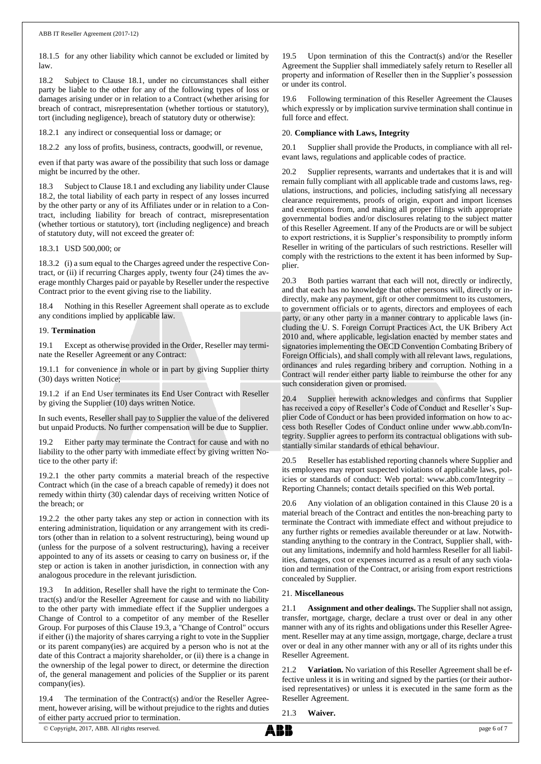18.1.5 for any other liability which cannot be excluded or limited by law.

<span id="page-5-2"></span>18.2 Subject to Clause [18.1,](#page-4-6) under no circumstances shall either party be liable to the other for any of the following types of loss or damages arising under or in relation to a Contract (whether arising for breach of contract, misrepresentation (whether tortious or statutory), tort (including negligence), breach of statutory duty or otherwise):

18.2.1 any indirect or consequential loss or damage; or

18.2.2 any loss of profits, business, contracts, goodwill, or revenue,

even if that party was aware of the possibility that such loss or damage might be incurred by the other.

18.3 Subject to Claus[e 18.1](#page-4-6) and excluding any liability under Clause [18.2,](#page-5-2) the total liability of each party in respect of any losses incurred by the other party or any of its Affiliates under or in relation to a Contract, including liability for breach of contract, misrepresentation (whether tortious or statutory), tort (including negligence) and breach of statutory duty, will not exceed the greater of:

# 18.3.1 USD 500,000; or

18.3.2 (i) a sum equal to the Charges agreed under the respective Contract, or (ii) if recurring Charges apply, twenty four (24) times the average monthly Charges paid or payable by Reseller under the respective Contract prior to the event giving rise to the liability.

18.4 Nothing in this Reseller Agreement shall operate as to exclude any conditions implied by applicable law.

# <span id="page-5-0"></span>19. **Termination**

19.1 Except as otherwise provided in the Order, Reseller may terminate the Reseller Agreement or any Contract:

19.1.1 for convenience in whole or in part by giving Supplier thirty (30) days written Notice;

19.1.2 if an End User terminates its End User Contract with Reseller by giving the Supplier (10) days written Notice.

In such events, Reseller shall pay to Supplier the value of the delivered but unpaid Products. No further compensation will be due to Supplier.

19.2 Either party may terminate the Contract for cause and with no liability to the other party with immediate effect by giving written Notice to the other party if:

19.2.1 the other party commits a material breach of the respective Contract which (in the case of a breach capable of remedy) it does not remedy within thirty (30) calendar days of receiving written Notice of the breach; or

19.2.2 the other party takes any step or action in connection with its entering administration, liquidation or any arrangement with its creditors (other than in relation to a solvent restructuring), being wound up (unless for the purpose of a solvent restructuring), having a receiver appointed to any of its assets or ceasing to carry on business or, if the step or action is taken in another jurisdiction, in connection with any analogous procedure in the relevant jurisdiction.

<span id="page-5-3"></span>In addition, Reseller shall have the right to terminate the Contract(s) and/or the Reseller Agreement for cause and with no liability to the other party with immediate effect if the Supplier undergoes a Change of Control to a competitor of any member of the Reseller Group. For purposes of this Claus[e 19.3,](#page-5-3) a "Change of Control" occurs if either (i) the majority of shares carrying a right to vote in the Supplier or its parent company(ies) are acquired by a person who is not at the date of this Contract a majority shareholder, or (ii) there is a change in the ownership of the legal power to direct, or determine the direction of, the general management and policies of the Supplier or its parent company(ies).

19.4 The termination of the Contract(s) and/or the Reseller Agreement, however arising, will be without prejudice to the rights and duties of either party accrued prior to termination.

19.5 Upon termination of this the Contract(s) and/or the Reseller Agreement the Supplier shall immediately safely return to Reseller all property and information of Reseller then in the Supplier's possession or under its control.

19.6 Following termination of this Reseller Agreement the Clauses which expressly or by implication survive termination shall continue in full force and effect.

# <span id="page-5-1"></span>20. **Compliance with Laws, Integrity**

20.1 Supplier shall provide the Products, in compliance with all relevant laws, regulations and applicable codes of practice.

20.2 Supplier represents, warrants and undertakes that it is and will remain fully compliant with all applicable trade and customs laws, regulations, instructions, and policies, including satisfying all necessary clearance requirements, proofs of origin, export and import licenses and exemptions from, and making all proper filings with appropriate governmental bodies and/or disclosures relating to the subject matter of this Reseller Agreement. If any of the Products are or will be subject to export restrictions, it is Supplier's responsibility to promptly inform Reseller in writing of the particulars of such restrictions. Reseller will comply with the restrictions to the extent it has been informed by Supplier.

20.3 Both parties warrant that each will not, directly or indirectly, and that each has no knowledge that other persons will, directly or indirectly, make any payment, gift or other commitment to its customers, to government officials or to agents, directors and employees of each party, or any other party in a manner contrary to applicable laws (including the U. S. Foreign Corrupt Practices Act, the UK Bribery Act 2010 and, where applicable, legislation enacted by member states and signatories implementing the OECD Convention Combating Bribery of Foreign Officials), and shall comply with all relevant laws, regulations, ordinances and rules regarding bribery and corruption. Nothing in a Contract will render either party liable to reimburse the other for any such consideration given or promised.

20.4 Supplier herewith acknowledges and confirms that Supplier has received a copy of Reseller's Code of Conduct and Reseller's Supplier Code of Conduct or has been provided information on how to access both Reseller Codes of Conduct online under www.abb.com/Integrity. Supplier agrees to perform its contractual obligations with substantially similar standards of ethical behaviour.

Reseller has established reporting channels where Supplier and its employees may report suspected violations of applicable laws, policies or standards of conduct: Web portal: www.abb.com/Integrity – Reporting Channels; contact details specified on this Web portal.

Any violation of an obligation contained in this Clause [20](#page-5-1) is a material breach of the Contract and entitles the non-breaching party to terminate the Contract with immediate effect and without prejudice to any further rights or remedies available thereunder or at law. Notwithstanding anything to the contrary in the Contract, Supplier shall, without any limitations, indemnify and hold harmless Reseller for all liabilities, damages, cost or expenses incurred as a result of any such violation and termination of the Contract, or arising from export restrictions concealed by Supplier.

# 21. **Miscellaneous**

21.1 **Assignment and other dealings.** The Supplier shall not assign, transfer, mortgage, charge, declare a trust over or deal in any other manner with any of its rights and obligations under this Reseller Agreement. Reseller may at any time assign, mortgage, charge, declare a trust over or deal in any other manner with any or all of its rights under this Reseller Agreement.

21.2 **Variation.** No variation of this Reseller Agreement shall be effective unless it is in writing and signed by the parties (or their authorised representatives) or unless it is executed in the same form as the Reseller Agreement.

21.3 **Waiver.**